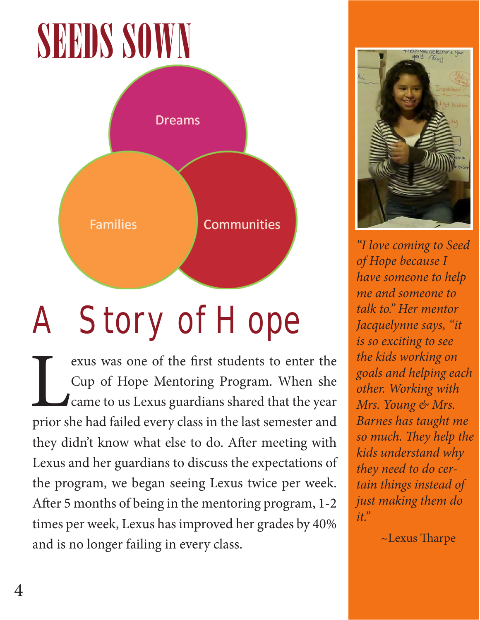## SEEDS SOWN



## A Story of Hope

Evans was one of the first students to enter the<br>Cup of Hope Mentoring Program. When she<br>Came to us Lexus guardians shared that the year<br>prior she had failed every class in the last semester and Cup of Hope Mentoring Program. When she came to us Lexus guardians shared that the year prior she had failed every class in the last semester and they didn't know what else to do. After meeting with Lexus and her guardians to discuss the expectations of the program, we began seeing Lexus twice per week. After 5 months of being in the mentoring program, 1-2 times per week, Lexus has improved her grades by 40% and is no longer failing in every class.



*"I love coming to Seed of Hope because I have someone to help me and someone to talk to." Her mentor Jacquelynne says, "it is so exciting to see the kids working on goals and helping each other. Working with Mrs. Young & Mrs. Barnes has taught me so much. They help the kids understand why they need to do certain things instead of just making them do it."*

~Lexus Tharpe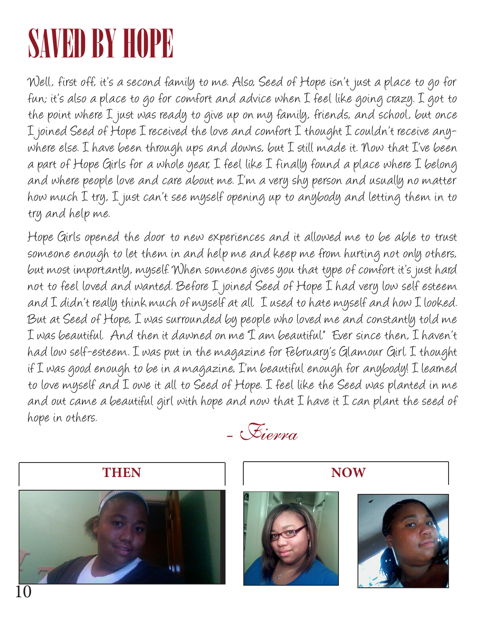### SAVED BY HOPE

Well, first off, it's a second family to me. Also, Seed of Hope isn't just a place to go for fun; it's also a place to go for comfort and advice when I feel like going crazy. I got to the point where I just was ready to give up on my family, friends, and school, but once I joined Seed of Hope I received the love and comfort I thought I couldn't receive anywhere else. I have been through ups and downs, but I still made it. Now that I've been a part of Hope Girls for a whole year, I feel like I finally found a place where I belong and where people love and care about me. I'm a very shy person and usually no matter how much I try, I just can't see myself opening up to anybody and letting them in to try and help me.

Hope Girls opened the door to new experiences and it allowed me to be able to trust someone enough to let them in and help me and keep me from hurting not only others, but most importantly, myself. When someone gives you that type of comfort it's just hard not to feel loved and wanted. Before I joined Seed of Hope I had very low self esteem and I didn't really think much of myself at all. I used to hate myself and how I looked. But at Seed of Hope, I was surrounded by people who loved me and constantly told me I was beautiful. And then it dawned on me: "I am beautiful." Ever since then, I haven't had low self-esteem. I was put in the magazine for February's Glamour Girl. I thought if I was good enough to be in a magazine, I'm beautiful enough for anybody! I learned to love myself and I owe it all to Seed of Hope. I feel like the Seed was planted in me and out came a beautiful girl with hope and now that I have it I can plant the seed of hope in others.

- Fierra







10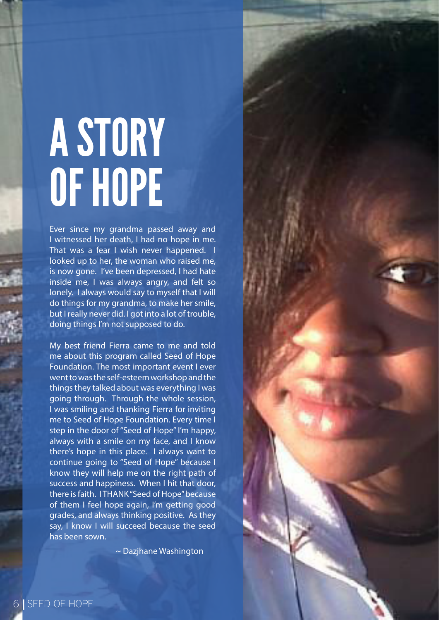# A STORY OF HOPE

Ever since my grandma passed away and I witnessed her death, I had no hope in me. That was a fear I wish never happened. I looked up to her, the woman who raised me, is now gone. I've been depressed, I had hate inside me, I was always angry, and felt so lonely. I always would say to myself that I will do things for my grandma, to make her smile, but I really never did. I got into a lot of trouble, doing things I'm not supposed to do.

My best friend Fierra came to me and told me about this program called Seed of Hope Foundation. The most important event I ever went to was the self-esteem workshop and the things they talked about was everything I was going through. Through the whole session, I was smiling and thanking Fierra for inviting me to Seed of Hope Foundation. Every time I step in the door of "Seed of Hope" I'm happy, always with a smile on my face, and I know there's hope in this place. I always want to continue going to "Seed of Hope" because I know they will help me on the right path of success and happiness. When I hit that door, there is faith. I THANK "Seed of Hope" because of them I feel hope again, I'm getting good grades, and always thinking positive. As they say, I know I will succeed because the seed has been sown.

~ Dazjhane Washington